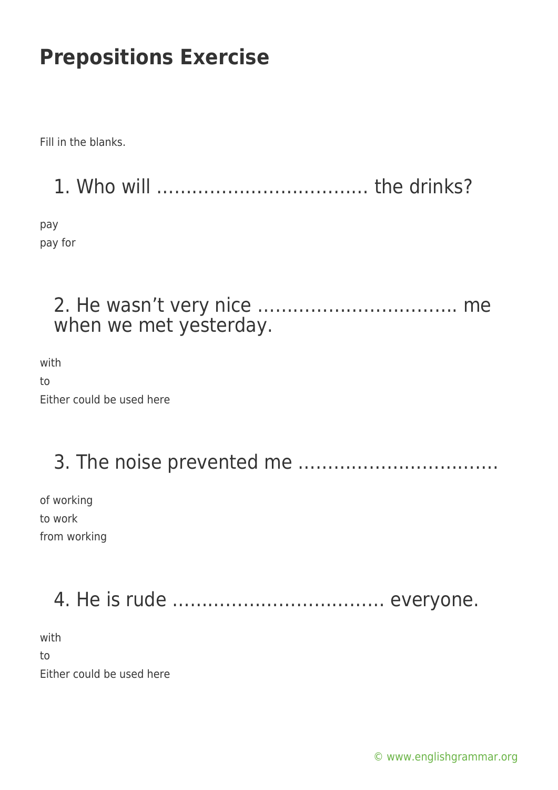Fill in the blanks.

1. Who will ……………………………… the drinks?

pay pay for

### 2. He wasn't very nice ……………………………. me when we met yesterday.

with to Either could be used here

# 3. The noise prevented me …………………………….

of working to work from working

# 4. He is rude ……………………………… everyone.

with to Either could be used here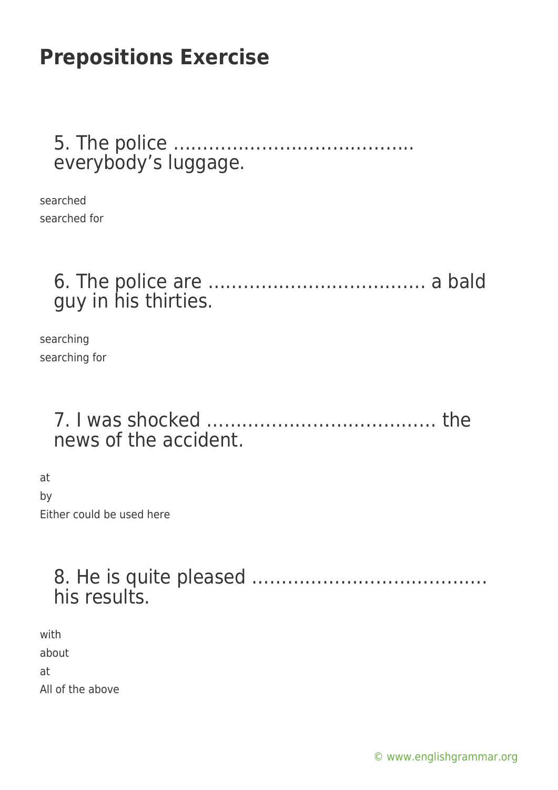#### 5. The police ………………………………….. everybody's luggage.

searched searched for

#### 6. The police are ………………………………. a bald guy in his thirties.

searching searching for

#### 7. I was shocked ………………………………… the news of the accident.

at by Either could be used here

#### 8. He is quite pleased …………………………………. his results.

with about at All of the above

[© www.englishgrammar.org](https://www.englishgrammar.org/)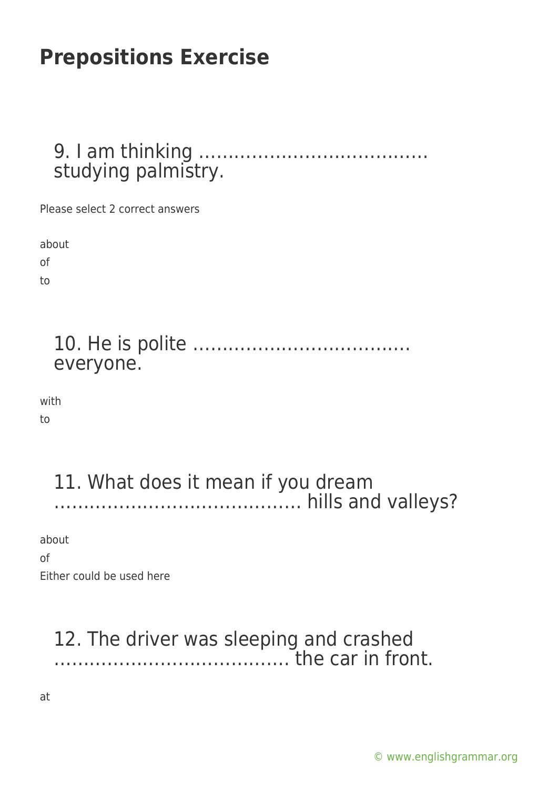9. I am thinking ………………………………… studying palmistry.

Please select 2 correct answers

about of

to

10. He is polite ………………………………. everyone.

with

to

#### 11. What does it mean if you dream …………………………………… hills and valleys?

about

of

Either could be used here

### 12. The driver was sleeping and crashed …………………………………. the car in front.

at